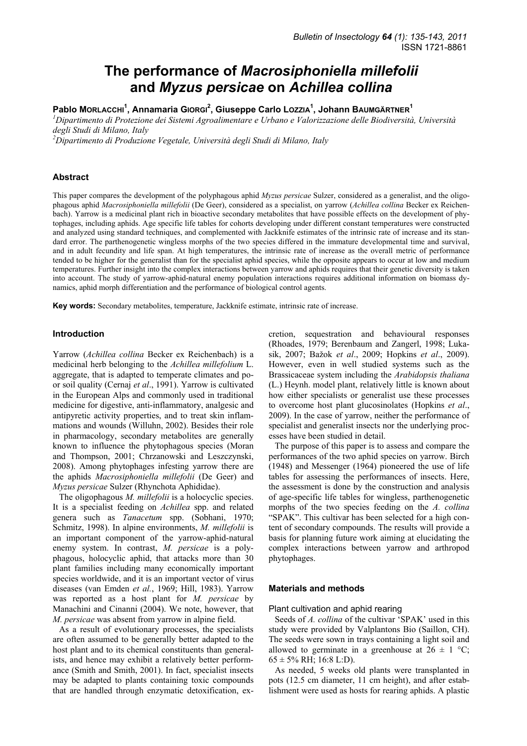# **The performance of** *Macrosiphoniella millefolii* **and** *Myzus persicae* **on** *Achillea collina*

# **Pablo MORLACCHI<sup>1</sup> , Annamaria GIORGI<sup>2</sup> , Giuseppe Carlo LOZZIA1 , Johann BAUMGÄRTNER1**

*1 Dipartimento di Protezione dei Sistemi Agroalimentare e Urbano e Valorizzazione delle Biodiversità, Università degli Studi di Milano, Italy* 

*2 Dipartimento di Produzione Vegetale, Università degli Studi di Milano, Italy* 

## **Abstract**

This paper compares the development of the polyphagous aphid *Myzus persicae* Sulzer, considered as a generalist, and the oligophagous aphid *Macrosiphoniella millefolii* (De Geer), considered as a specialist, on yarrow (*Achillea collina* Becker ex Reichenbach). Yarrow is a medicinal plant rich in bioactive secondary metabolites that have possible effects on the development of phytophages, including aphids. Age specific life tables for cohorts developing under different constant temperatures were constructed and analyzed using standard techniques, and complemented with Jackknife estimates of the intrinsic rate of increase and its standard error. The parthenogenetic wingless morphs of the two species differed in the immature developmental time and survival, and in adult fecundity and life span. At high temperatures, the intrinsic rate of increase as the overall metric of performance tended to be higher for the generalist than for the specialist aphid species, while the opposite appears to occur at low and medium temperatures. Further insight into the complex interactions between yarrow and aphids requires that their genetic diversity is taken into account. The study of yarrow-aphid-natural enemy population interactions requires additional information on biomass dynamics, aphid morph differentiation and the performance of biological control agents.

**Key words:** Secondary metabolites, temperature, Jackknife estimate, intrinsic rate of increase.

# **Introduction**

Yarrow (*Achillea collina* Becker ex Reichenbach) is a medicinal herb belonging to the *Achillea millefolium* L. aggregate, that is adapted to temperate climates and poor soil quality (Cernaj *et al*., 1991). Yarrow is cultivated in the European Alps and commonly used in traditional medicine for digestive, anti-inflammatory, analgesic and antipyretic activity properties, and to treat skin inflammations and wounds (Willuhn, 2002). Besides their role in pharmacology, secondary metabolites are generally known to influence the phytophagous species (Moran and Thompson, 2001; Chrzanowski and Leszczynski, 2008). Among phytophages infesting yarrow there are the aphids *Macrosiphoniella millefolii* (De Geer) and *Myzus persicae* Sulzer (Rhynchota Aphididae).

The oligophagous *M. millefolii* is a holocyclic species. It is a specialist feeding on *Achillea* spp. and related genera such as *Tanacetum* spp. (Sobhani, 1970; Schmitz, 1998). In alpine environments, *M. millefolii* is an important component of the yarrow-aphid-natural enemy system. In contrast, *M. persicae* is a polyphagous, holocyclic aphid, that attacks more than 30 plant families including many economically important species worldwide, and it is an important vector of virus diseases (van Emden *et al.*, 1969; Hill, 1983). Yarrow was reported as a host plant for *M. persicae* by Manachini and Cinanni (2004). We note, however, that *M. persicae* was absent from yarrow in alpine field.

As a result of evolutionary processes, the specialists are often assumed to be generally better adapted to the host plant and to its chemical constituents than generalists, and hence may exhibit a relatively better performance (Smith and Smith, 2001). In fact, specialist insects may be adapted to plants containing toxic compounds that are handled through enzymatic detoxification, excretion, sequestration and behavioural responses (Rhoades, 1979; Berenbaum and Zangerl, 1998; Lukasik, 2007; Bažok *et al*., 2009; Hopkins *et al*., 2009). However, even in well studied systems such as the Brassicaceae system including the *Arabidopsis thaliana* (L.) Heynh. model plant, relatively little is known about how either specialists or generalist use these processes to overcome host plant glucosinolates (Hopkins *et al*., 2009). In the case of yarrow, neither the performance of specialist and generalist insects nor the underlying processes have been studied in detail.

The purpose of this paper is to assess and compare the performances of the two aphid species on yarrow. Birch (1948) and Messenger (1964) pioneered the use of life tables for assessing the performances of insects. Here, the assessment is done by the construction and analysis of age-specific life tables for wingless, parthenogenetic morphs of the two species feeding on the *A. collina* "SPAK". This cultivar has been selected for a high content of secondary compounds. The results will provide a basis for planning future work aiming at elucidating the complex interactions between yarrow and arthropod phytophages.

#### **Materials and methods**

#### Plant cultivation and aphid rearing

Seeds of *A. collina* of the cultivar 'SPAK' used in this study were provided by Valplantons Bio (Saillon, CH). The seeds were sown in trays containing a light soil and allowed to germinate in a greenhouse at  $26 \pm 1$  °C;  $65 \pm 5\%$  RH; 16:8 L:D).

As needed, 5 weeks old plants were transplanted in pots (12.5 cm diameter, 11 cm height), and after establishment were used as hosts for rearing aphids. A plastic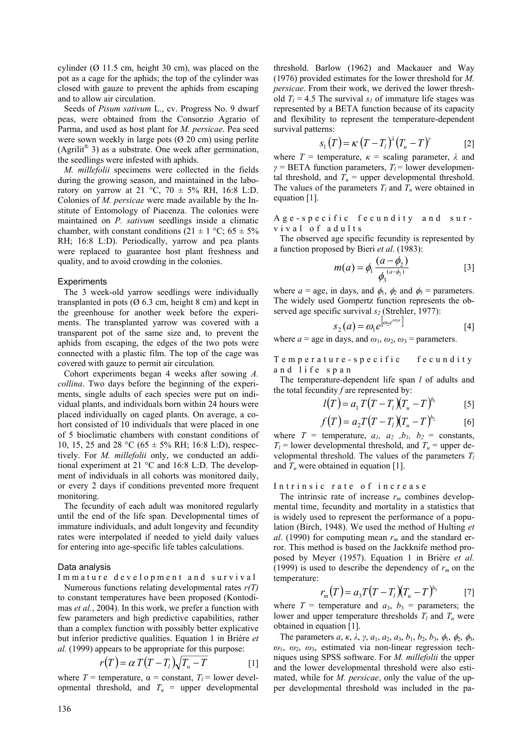cylinder ( $\varnothing$  11.5 cm, height 30 cm), was placed on the pot as a cage for the aphids; the top of the cylinder was closed with gauze to prevent the aphids from escaping and to allow air circulation.

Seeds of *Pisum sativum* L., cv. Progress No. 9 dwarf peas, were obtained from the Consorzio Agrario of Parma, and used as host plant for *M. persicae*. Pea seed were sown weekly in large pots  $(0, 20, \text{cm})$  using perlite (Agrilit<sup>®</sup> 3) as a substrate. One week after germination, the seedlings were infested with aphids.

*M. millefolii* specimens were collected in the fields during the growing season, and maintained in the laboratory on yarrow at 21 °C, 70  $\pm$  5% RH, 16:8 L:D. Colonies of *M. persicae* were made available by the Institute of Entomology of Piacenza. The colonies were maintained on *P. sativum* seedlings inside a climatic chamber, with constant conditions  $(21 \pm 1 \degree \text{C}; 65 \pm 5\%$ RH; 16:8 L:D). Periodically, yarrow and pea plants were replaced to guarantee host plant freshness and quality, and to avoid crowding in the colonies.

#### **Experiments**

The 3 week-old yarrow seedlings were individually transplanted in pots  $(0, 6.3, \text{cm})$ , height 8 cm) and kept in the greenhouse for another week before the experiments. The transplanted yarrow was covered with a transparent pot of the same size and, to prevent the aphids from escaping, the edges of the two pots were connected with a plastic film. The top of the cage was covered with gauze to permit air circulation.

Cohort experiments began 4 weeks after sowing *A. collina*. Two days before the beginning of the experiments, single adults of each species were put on individual plants, and individuals born within 24 hours were placed individually on caged plants. On average, a cohort consisted of 10 individuals that were placed in one of 5 bioclimatic chambers with constant conditions of 10, 15, 25 and 28 °C (65  $\pm$  5% RH; 16:8 L:D), respectively. For *M. millefolii* only, we conducted an additional experiment at 21 °C and 16:8 L:D. The development of individuals in all cohorts was monitored daily, or every 2 days if conditions prevented more frequent monitoring.

The fecundity of each adult was monitored regularly until the end of the life span. Developmental times of immature individuals, and adult longevity and fecundity rates were interpolated if needed to yield daily values for entering into age-specific life tables calculations.

### Data analysis

Immature development and survival Numerous functions relating developmental rates *r(T)* to constant temperatures have been proposed (Kontodimas *et al.*, 2004). In this work, we prefer a function with few parameters and high predictive capabilities, rather than a complex function with possibly better explicative but inferior predictive qualities. Equation 1 in Brière *et al.* (1999) appears to be appropriate for this purpose:

$$
r(T) = \alpha T(T - T_i)\sqrt{T_u - T}
$$
 [1]

where  $T =$  temperature,  $\alpha =$  constant,  $T_l =$  lower developmental threshold, and  $T_u$  = upper developmental threshold. Barlow (1962) and Mackauer and Way (1976) provided estimates for the lower threshold for *M. persicae*. From their work, we derived the lower threshold  $T_l$  = 4.5 The survival  $s_l$  of immature life stages was represented by a BETA function because of its capacity and flexibility to represent the temperature-dependent survival patterns:

$$
s_1(T) = \kappa (T - T_t)^{\lambda} (T_u - T)^{\gamma}
$$
 [2]

where  $T =$  temperature,  $\kappa =$  scaling parameter,  $\lambda$  and  $\gamma$  = BETA function parameters,  $T_l$  = lower developmental threshold, and  $T_u$  = upper developmental threshold. The values of the parameters  $T_l$  and  $T_u$  were obtained in equation [1].

Age-specific fecundity and survival of adults

The observed age specific fecundity is represented by a function proposed by Bieri *et al*. (1983):

$$
m(a) = \phi_1 \frac{(a - \phi_2)}{\phi_3^{(a - \phi_2)}} \tag{3}
$$

where  $a = \text{age}$ , in days, and  $\phi_1$ ,  $\phi_2$  and  $\phi_3 = \text{parameters}$ . The widely used Gompertz function represents the observed age specific survival  $s_2$  (Strehler, 1977):

$$
s_2(a) = \omega_1 e^{\left[\omega_2 e^{\omega_3 a}\right]}
$$
 [4]

where  $a =$  age in days, and  $\omega_1$ ,  $\omega_2$ ,  $\omega_3 =$  parameters.

Temperature-specific fecundity and life span

The temperature-dependent life span *l* of adults and the total fecundity *f* are represented by:

$$
l(T) = a_1 T (T - T_l) (T_u - T)^{b_1}
$$
 [5]

$$
f(T) = a_2 T (T - T_l)(T_u - T)^{b_2}
$$
 [6]

where  $T =$  temperature,  $a_1$ ,  $a_2$ ,  $b_1$ ,  $b_2 =$  constants,  $T_l$  = lower developmental threshold, and  $T_u$  = upper developmental threshold. The values of the parameters  $T_l$ and  $T_u$  were obtained in equation [1].

#### Intrinsic rate of increase

The intrinsic rate of increase  $r_m$  combines developmental time, fecundity and mortality in a statistics that is widely used to represent the performance of a population (Birch, 1948). We used the method of Hulting *et al*. (1990) for computing mean  $r_m$  and the standard error. This method is based on the Jackknife method proposed by Meyer (1957). Equation 1 in Brière *et al.* (1999) is used to describe the dependency of  $r_m$  on the temperature:

$$
r_m(T) = a_3 T (T - T_l) (T_u - T)^{b_3} \tag{7}
$$

where  $T =$  temperature and  $a_3$ ,  $b_3 =$  parameters; the lower and upper temperature thresholds  $T_l$  and  $T_u$  were obtained in equation [1].

The parameters *a*, *κ*, *λ*, *γ*, *a*1, *a*2, *a*3, *b*1, *b*2, *b*3, φ1, φ2, φ3,  $\omega_1$ ,  $\omega_2$ ,  $\omega_3$ , estimated via non-linear regression techniques using SPSS software. For *M. millefolii* the upper and the lower developmental threshold were also estimated, while for *M. persicae*, only the value of the upper developmental threshold was included in the pa-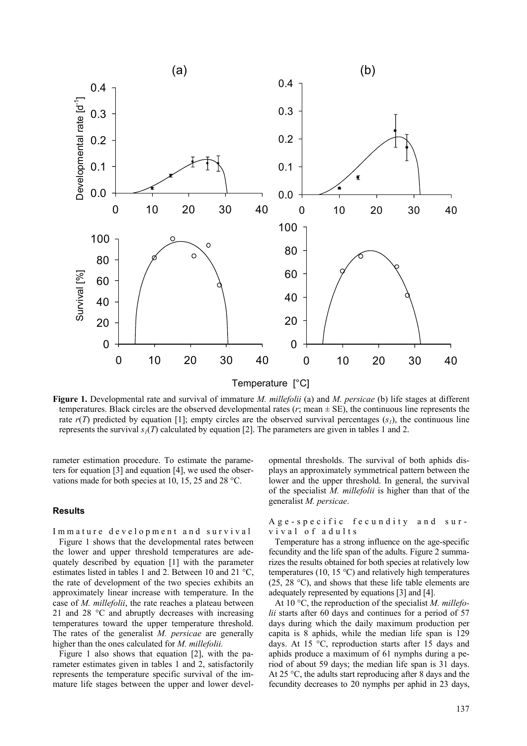

**Figure 1.** Developmental rate and survival of immature *M. millefolii* (a) and *M. persicae* (b) life stages at different temperatures. Black circles are the observed developmental rates  $(r; \text{mean} \pm \text{SE})$ , the continuous line represents the rate  $r(T)$  predicted by equation [1]; empty circles are the observed survival percentages  $(s<sub>1</sub>)$ , the continuous line represents the survival  $s_1(T)$  calculated by equation [2]. The parameters are given in tables 1 and 2.

rameter estimation procedure. To estimate the parameters for equation [3] and equation [4], we used the observations made for both species at 10, 15, 25 and 28 °C.

### **Results**

Immature development and survival Figure 1 shows that the developmental rates between the lower and upper threshold temperatures are adequately described by equation [1] with the parameter estimates listed in tables 1 and 2. Between 10 and 21 °C, the rate of development of the two species exhibits an approximately linear increase with temperature. In the case of *M. millefolii*, the rate reaches a plateau between 21 and 28 °C and abruptly decreases with increasing temperatures toward the upper temperature threshold. The rates of the generalist *M. persicae* are generally higher than the ones calculated for *M. millefolii.*

Figure 1 also shows that equation [2], with the parameter estimates given in tables 1 and 2, satisfactorily represents the temperature specific survival of the immature life stages between the upper and lower devel-

opmental thresholds. The survival of both aphids displays an approximately symmetrical pattern between the lower and the upper threshold. In general, the survival of the specialist *M. millefolii* is higher than that of the generalist *M. persicae*.

Age-specific fecundity and survival of adults

Temperature has a strong influence on the age-specific fecundity and the life span of the adults. Figure 2 summarizes the results obtained for both species at relatively low temperatures (10, 15 °C) and relatively high temperatures (25, 28 °C), and shows that these life table elements are adequately represented by equations [3] and [4].

At 10 °C, the reproduction of the specialist *M. millefolii* starts after 60 days and continues for a period of 57 days during which the daily maximum production per capita is 8 aphids, while the median life span is 129 days. At 15 °C, reproduction starts after 15 days and aphids produce a maximum of 61 nymphs during a period of about 59 days; the median life span is 31 days. At 25 °C, the adults start reproducing after 8 days and the fecundity decreases to 20 nymphs per aphid in 23 days,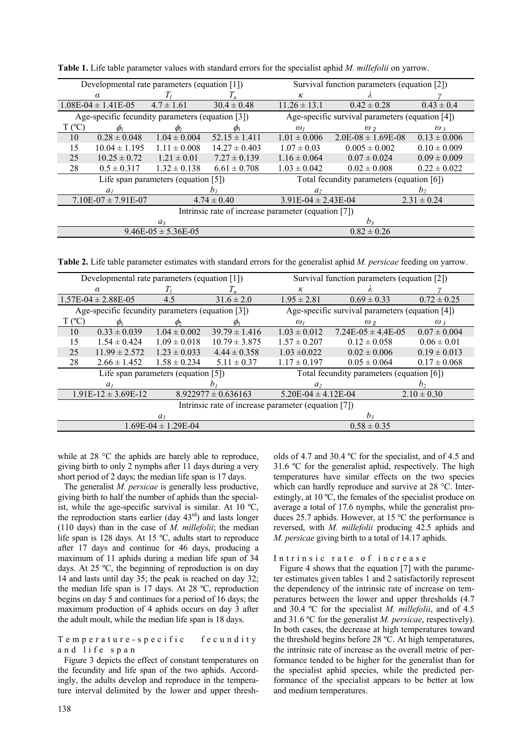| Developmental rate parameters (equation [1])        |                   |                  |                   | Survival function parameters (equation [2])        |                        |                  |  |  |  |  |
|-----------------------------------------------------|-------------------|------------------|-------------------|----------------------------------------------------|------------------------|------------------|--|--|--|--|
| $\alpha$                                            |                   |                  |                   | к                                                  |                        |                  |  |  |  |  |
| $1.08E-04 \pm 1.41E-05$                             |                   | $4.7 \pm 1.61$   | $30.4 \pm 0.48$   | $11.26 \pm 13.1$                                   | $0.42 \pm 0.28$        | $0.43 \pm 0.4$   |  |  |  |  |
| Age-specific fecundity parameters (equation [3])    |                   |                  |                   | Age-specific survival parameters (equation $[4]$ ) |                        |                  |  |  |  |  |
| $\Gamma$ (°C)                                       |                   | Ø,               | Øς                | $\omega_I$                                         | $\omega$ <sub>2</sub>  | $\omega$ 3       |  |  |  |  |
| 10                                                  | $0.28 \pm 0.048$  | $1.04 \pm 0.004$ | $52.15 \pm 1.411$ | $1.01 \pm 0.006$                                   | $2.0E-08 \pm 1.69E-08$ | $0.13 \pm 0.006$ |  |  |  |  |
| 15                                                  | $10.04 \pm 1.195$ | $1.11 \pm 0.008$ | $14.27 \pm 0.403$ | $1.07 \pm 0.03$                                    | $0.005 \pm 0.002$      | $0.10 \pm 0.009$ |  |  |  |  |
| 25                                                  | $10.25 \pm 0.72$  | $1.21 \pm 0.01$  | $7.27 \pm 0.139$  | $1.16 \pm 0.064$                                   | $0.07 \pm 0.024$       | $0.09 \pm 0.009$ |  |  |  |  |
| 28                                                  | $0.5 \pm 0.317$   | $1.32 \pm 0.138$ | $6.61 \pm 0.708$  | $1.03 \pm 0.042$                                   | $0.02 \pm 0.008$       | $0.22 \pm 0.022$ |  |  |  |  |
| Life span parameters (equation $[5]$ )              |                   |                  |                   | Total fecundity parameters (equation [6])          |                        |                  |  |  |  |  |
|                                                     | a <sub>1</sub>    |                  | $n_{1}$           | a <sub>2</sub>                                     |                        | h٠               |  |  |  |  |
| $7.10E-07 \pm 7.91E-07$                             |                   |                  | $4.74 \pm 0.40$   | $3.91E-04 \pm 2.43E-04$                            |                        | $2.31 \pm 0.24$  |  |  |  |  |
| Intrinsic rate of increase parameter (equation [7]) |                   |                  |                   |                                                    |                        |                  |  |  |  |  |
| a <sub>3</sub>                                      |                   |                  |                   | h <sub>2</sub>                                     |                        |                  |  |  |  |  |
| $9.46E-05 \pm 5.36E-05$                             |                   |                  |                   | $0.82 \pm 0.26$                                    |                        |                  |  |  |  |  |

**Table 1.** Life table parameter values with standard errors for the specialist aphid *M. millefolii* on yarrow.

**Table 2.** Life table parameter estimates with standard errors for the generalist aphid *M. persicae* feeding on yarrow.

| Developmental rate parameters (equation [1])        |                   |                  |                         | Survival function parameters (equation [2])     |                        |                  |  |  |  |
|-----------------------------------------------------|-------------------|------------------|-------------------------|-------------------------------------------------|------------------------|------------------|--|--|--|
| $\alpha$                                            |                   |                  |                         | к                                               |                        |                  |  |  |  |
| $1.57E-04 \pm 2.88E-05$                             |                   | 4.5              | $31.6 \pm 2.0$          | $1.95 \pm 2.81$                                 | $0.69 \pm 0.33$        | $0.72 \pm 0.25$  |  |  |  |
| Age-specific fecundity parameters (equation [3])    |                   |                  |                         | Age-specific survival parameters (equation [4]) |                        |                  |  |  |  |
| $T (^{\circ}C)$                                     |                   |                  |                         | $\omega_I$                                      | $\omega_2$             | $\omega_3$       |  |  |  |
| 10                                                  | $0.33 \pm 0.039$  | $1.04 \pm 0.002$ | $39.79 \pm 1.416$       | $1.03 \pm 0.012$                                | $7.24E-05 \pm 4.4E-05$ | $0.07 \pm 0.004$ |  |  |  |
| 15                                                  | $1.54 \pm 0.424$  | $1.09 \pm 0.018$ | $10.79 \pm 3.875$       | $1.57 \pm 0.207$                                | $0.12 \pm 0.058$       | $0.06 \pm 0.01$  |  |  |  |
| 25                                                  | $11.99 \pm 2.572$ | $1.23 \pm 0.033$ | $4.44 \pm 0.358$        | $1.03 \pm 0.022$                                | $0.02 \pm 0.006$       | $0.19 \pm 0.013$ |  |  |  |
| 28                                                  | $2.66 \pm 1.452$  | $1.58 \pm 0.234$ | $5.11 \pm 0.37$         | $1.17 \pm 0.197$                                | $0.05 \pm 0.064$       | $0.17 \pm 0.068$ |  |  |  |
| Life span parameters (equation $[5]$ )              |                   |                  |                         | Total fecundity parameters (equation [6])       |                        |                  |  |  |  |
|                                                     | a <sub>1</sub>    |                  |                         | a <sub>2</sub>                                  |                        | b٠               |  |  |  |
| $1.91E-12 \pm 3.69E-12$                             |                   |                  | $8.922977 \pm 0.636163$ | $5.20E-04 \pm 4.12E-04$                         |                        | $2.10 \pm 0.30$  |  |  |  |
| Intrinsic rate of increase parameter (equation [7]) |                   |                  |                         |                                                 |                        |                  |  |  |  |
| a <sub>3</sub>                                      |                   |                  |                         | h <sub>3</sub>                                  |                        |                  |  |  |  |
| $1.69E-04 \pm 1.29E-04$                             |                   |                  |                         | $0.58 \pm 0.35$                                 |                        |                  |  |  |  |

while at 28 °C the aphids are barely able to reproduce, giving birth to only 2 nymphs after 11 days during a very short period of 2 days; the median life span is 17 days.

The generalist *M. persicae* is generally less productive, giving birth to half the number of aphids than the specialist, while the age-specific survival is similar. At 10  $^{\circ}C$ , the reproduction starts earlier (day 43<sup>rd</sup>) and lasts longer (110 days) than in the case of *M. millefolii*; the median life span is 128 days*.* At 15 ºC, adults start to reproduce after 17 days and continue for 46 days, producing a maximum of 11 aphids during a median life span of 34 days. At 25 ºC, the beginning of reproduction is on day 14 and lasts until day 35; the peak is reached on day 32; the median life span is 17 days. At 28 ºC, reproduction begins on day 5 and continues for a period of 16 days; the maximum production of 4 aphids occurs on day 3 after the adult moult, while the median life span is 18 days.

Temperature-specific fecundity and life span

Figure 3 depicts the effect of constant temperatures on the fecundity and life span of the two aphids. Accordingly, the adults develop and reproduce in the temperature interval delimited by the lower and upper thresholds of 4.7 and 30.4 ºC for the specialist, and of 4.5 and 31.6 ºC for the generalist aphid, respectively. The high temperatures have similar effects on the two species which can hardly reproduce and survive at 28 °C. Interestingly, at 10 ºC, the females of the specialist produce on average a total of 17.6 nymphs, while the generalist produces 25.7 aphids. However, at 15 ºC the performance is reversed, with *M. millefolii* producing 42.5 aphids and *M. persicae* giving birth to a total of 14.17 aphids.

Intrinsic rate of increase

Figure 4 shows that the equation [7] with the parameter estimates given tables 1 and 2 satisfactorily represent the dependency of the intrinsic rate of increase on temperatures between the lower and upper thresholds (4.7 and 30.4 ºC for the specialist *M. millefolii*, and of 4.5 and 31.6 ºC for the generalist *M. persicae*, respectively). In both cases, the decrease at high temperatures toward the threshold begins before 28 ºC. At high temperatures, the intrinsic rate of increase as the overall metric of performance tended to be higher for the generalist than for the specialist aphid species, while the predicted performance of the specialist appears to be better at low and medium temperatures.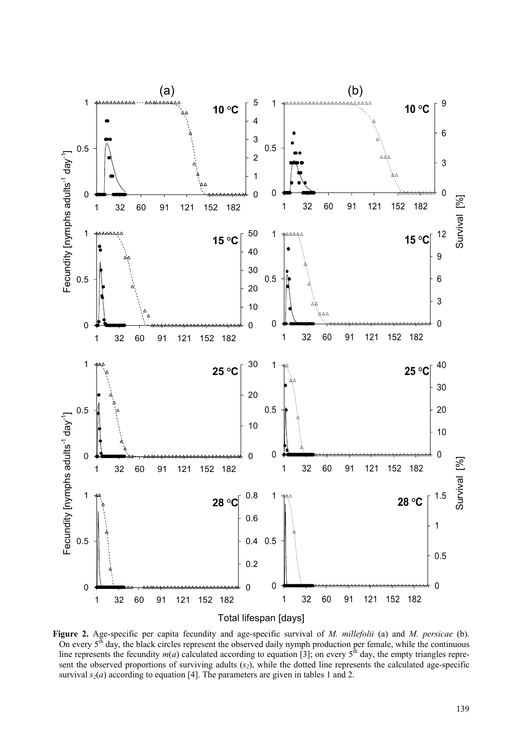

**Figure 2.** Age-specific per capita fecundity and age-specific survival of *M. millefolii* (a) and *M. persicae* (b). On every  $5<sup>th</sup>$  day, the black circles represent the observed daily nymph production per female, while the continuous line represents the fecundity  $m(a)$  calculated according to equation [3]; on every  $5^{\text{th}}$  day, the empty triangles represent the observed proportions of surviving adults  $(s_2)$ , while the dotted line represents the calculated age-specific survival  $s_2(a)$  according to equation [4]. The parameters are given in tables 1 and 2.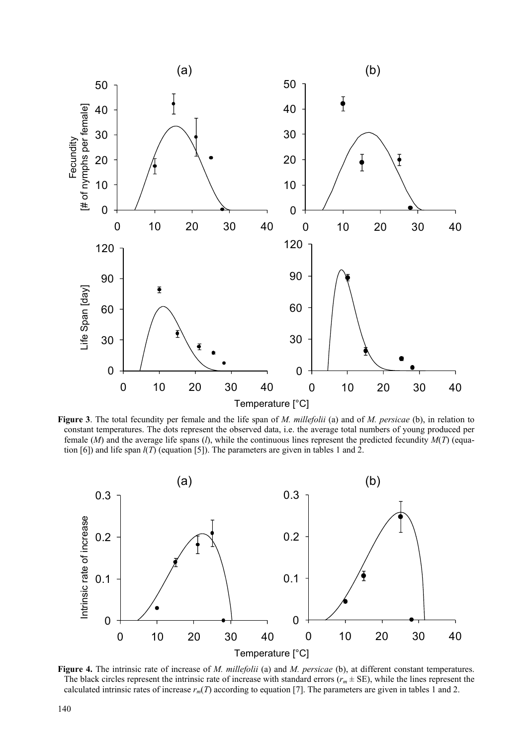

**Figure 3**. The total fecundity per female and the life span of *M. millefolii* (a) and of *M. persicae* (b), in relation to constant temperatures. The dots represent the observed data, i.e. the average total numbers of young produced per female (*M*) and the average life spans (*l*), while the continuous lines represent the predicted fecundity *M*(*T*) (equation [6]) and life span *l*(*T*) (equation [5]). The parameters are given in tables 1 and 2.



**Figure 4.** The intrinsic rate of increase of *M. millefolii* (a) and *M. persicae* (b), at different constant temperatures. The black circles represent the intrinsic rate of increase with standard errors ( $r_m \pm SE$ ), while the lines represent the calculated intrinsic rates of increase  $r_m(T)$  according to equation [7]. The parameters are given in tables 1 and 2.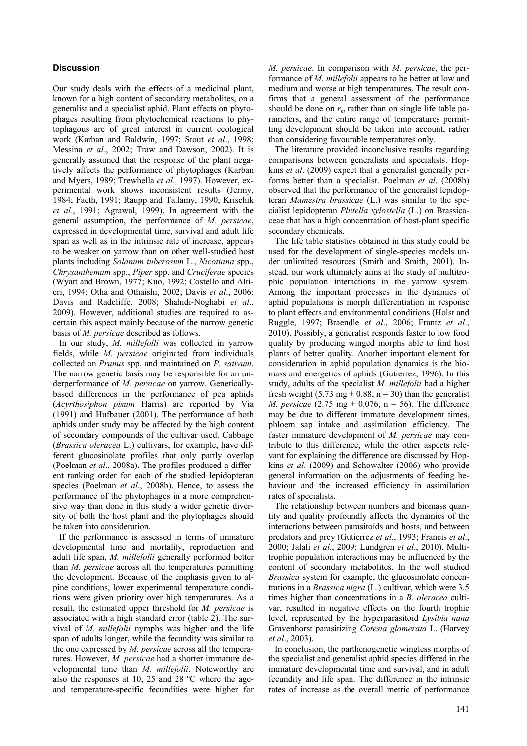# **Discussion**

Our study deals with the effects of a medicinal plant, known for a high content of secondary metabolites, on a generalist and a specialist aphid. Plant effects on phytophages resulting from phytochemical reactions to phytophagous are of great interest in current ecological work (Karban and Baldwin, 1997; Stout *et al*., 1998; Messina *et al.*, 2002; Traw and Dawson, 2002). It is generally assumed that the response of the plant negatively affects the performance of phytophages (Karban and Myers, 1989; Trewhella *et al*., 1997). However, experimental work shows inconsistent results (Jermy, 1984; Faeth, 1991; Raupp and Tallamy, 1990; Krischik *et al*., 1991; Agrawal, 1999). In agreement with the general assumption, the performance of *M. persicae*, expressed in developmental time, survival and adult life span as well as in the intrinsic rate of increase, appears to be weaker on yarrow than on other well-studied host plants including *Solanum tuberosum* L., *Nicotiana* spp., *Chrysanthemum* spp., *Piper* spp. and *Cruciferae* species (Wyatt and Brown, 1977; Kuo, 1992; Costello and Altieri, 1994; Otha and Othaishi, 2002; Davis *et al*., 2006; Davis and Radcliffe, 2008; Shahidi-Noghabi *et al*., 2009). However, additional studies are required to ascertain this aspect mainly because of the narrow genetic basis of *M. persicae* described as follows.

In our study, *M. millefolli* was collected in yarrow fields, while *M. persicae* originated from individuals collected on *Prunus* spp. and maintained on *P. sativum*. The narrow genetic basis may be responsible for an underperformance of *M. persicae* on yarrow. Geneticallybased differences in the performance of pea aphids (*Acyrthosiphon pisum* Harris) are reported by Via (1991) and Hufbauer (2001). The performance of both aphids under study may be affected by the high content of secondary compounds of the cultivar used. Cabbage (*Brassica oleracea* L.) cultivars, for example, have different glucosinolate profiles that only partly overlap (Poelman *et al*., 2008a). The profiles produced a different ranking order for each of the studied lepidopteran species (Poelman *et al*., 2008b). Hence, to assess the performance of the phytophages in a more comprehensive way than done in this study a wider genetic diversity of both the host plant and the phytophages should be taken into consideration.

If the performance is assessed in terms of immature developmental time and mortality, reproduction and adult life span, *M. millefolii* generally performed better than *M. persicae* across all the temperatures permitting the development. Because of the emphasis given to alpine conditions, lower experimental temperature conditions were given priority over high temperatures. As a result, the estimated upper threshold for *M. persicae* is associated with a high standard error (table 2). The survival of *M. millefolii* nymphs was higher and the life span of adults longer, while the fecundity was similar to the one expressed by *M. persicae* across all the temperatures. However, *M. persicae* had a shorter immature developmental time than *M. millefolii*. Noteworthy are also the responses at 10, 25 and 28 ºC where the ageand temperature-specific fecundities were higher for *M. persicae*. In comparison with *M. persicae*, the performance of *M. millefolii* appears to be better at low and medium and worse at high temperatures. The result confirms that a general assessment of the performance should be done on  $r_m$  rather than on single life table parameters, and the entire range of temperatures permitting development should be taken into account, rather than considering favourable temperatures only.

The literature provided inconclusive results regarding comparisons between generalists and specialists. Hopkins *et al*. (2009) expect that a generalist generally performs better than a specialist. Poelman *et al*. (2008b) observed that the performance of the generalist lepidopteran *Mamestra brassicae* (L.) was similar to the specialist lepidopteran *Plutella xylostella* (L.) on Brassicaceae that has a high concentration of host-plant specific secondary chemicals.

The life table statistics obtained in this study could be used for the development of single-species models under unlimited resources (Smith and Smith, 2001). Instead, our work ultimately aims at the study of multitrophic population interactions in the yarrow system. Among the important processes in the dynamics of aphid populations is morph differentiation in response to plant effects and environmental conditions (Holst and Ruggle, 1997; Braendle *et al*., 2006; Frantz *et al*., 2010). Possibly, a generalist responds faster to low food quality by producing winged morphs able to find host plants of better quality. Another important element for consideration in aphid population dynamics is the biomass and energetics of aphids (Gutierrez, 1996). In this study, adults of the specialist *M. millefolii* had a higher fresh weight (5.73 mg  $\pm$  0.88, n = 30) than the generalist *M. persicae* (2.75 mg  $\pm$  0.076, n = 56). The difference may be due to different immature development times, phloem sap intake and assimilation efficiency. The faster immature development of *M. persicae* may contribute to this difference, while the other aspects relevant for explaining the difference are discussed by Hopkins *et al*. (2009) and Schowalter (2006) who provide general information on the adjustments of feeding behaviour and the increased efficiency in assimilation rates of specialists.

The relationship between numbers and biomass quantity and quality profoundly affects the dynamics of the interactions between parasitoids and hosts, and between predators and prey (Gutierrez *et al*., 1993; Francis *et al*., 2000; Jalali *et al*., 2009; Lundgren *et al*., 2010). Multitrophic population interactions may be influenced by the content of secondary metabolites. In the well studied *Brassica* system for example, the glucosinolate concentrations in a *Brassica nigra* (L.) cultivar, which were 3.5 times higher than concentrations in a *B. oleracea* cultivar, resulted in negative effects on the fourth trophic level, represented by the hyperparasitoid *Lysibia nana* Gravenhorst parasitizing *Cotesia glomerata* L. (Harvey *et al*., 2003).

In conclusion, the parthenogenetic wingless morphs of the specialist and generalist aphid species differed in the immature developmental time and survival, and in adult fecundity and life span. The difference in the intrinsic rates of increase as the overall metric of performance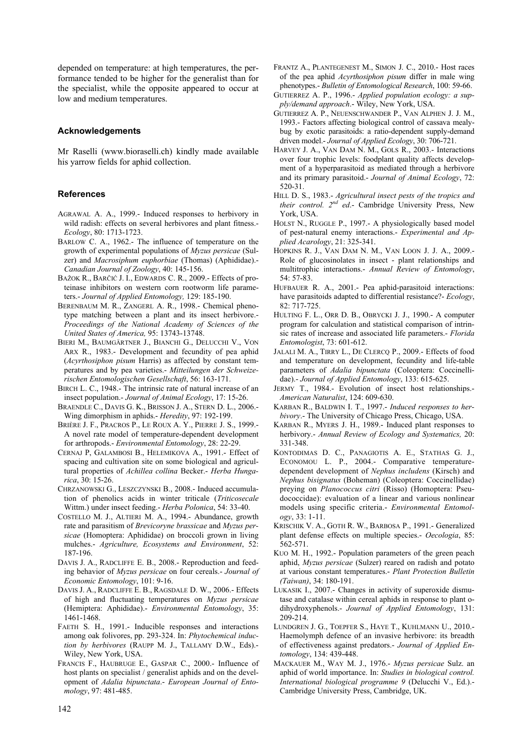depended on temperature: at high temperatures, the performance tended to be higher for the generalist than for the specialist, while the opposite appeared to occur at low and medium temperatures.

#### **Acknowledgements**

Mr Raselli (www.bioraselli.ch) kindly made available his yarrow fields for aphid collection.

# **References**

- AGRAWAL A. A., 1999.- Induced responses to herbivory in wild radish: effects on several herbivores and plant fitness.- *Ecology*, 80: 1713-1723.
- BARLOW C. A., 1962.- The influence of temperature on the growth of experimental populations of *Myzus persicae* (Sulzer) and *Macrosiphum euphorbiae* (Thomas) (Aphididae).- *Canadian Journal of Zoology*, 40: 145-156.
- BAŽOK R., BARČIĆ J. I., EDWARDS C. R., 2009.- Effects of proteinase inhibitors on western corn rootworm life parameters.- *Journal of Applied Entomology,* 129: 185-190.
- BERENBAUM M. R., ZANGERL A. R., 1998.- Chemical phenotype matching between a plant and its insect herbivore.- *Proceedings of the National Academy of Sciences of the United States of America,* 95: 13743-13748.
- BIERI M., BAUMGÄRTNER J., BIANCHI G., DELUCCHI V., VON ARX R., 1983.- Development and fecundity of pea aphid (*Acyrthosiphon pisum* Harris) as affected by constant temperatures and by pea varieties.- *Mitteilungen der Schweizerischen Entomologischen Gesellschaft*, 56: 163-171.
- BIRCH L. C., 1948.- The intrinsic rate of natural increase of an insect population.- *Journal of Animal Ecology*, 17: 15-26.
- BRAENDLE C., DAVIS G. K., BRISSON J. A., STERN D. L., 2006.- Wing dimorphism in aphids.- *Heredity*, 97: 192-199.
- BRIÈRE J. F., PRACROS P., LE ROUX A. Y., PIERRE J. S., 1999.- A novel rate model of temperature-dependent development for arthropods.- *Environmental Entomology*, 28: 22-29.
- CERNAJ P, GALAMBOSI B., HELEMIKOVA A., 1991.- Effect of spacing and cultivation site on some biological and agricultural properties of *Achillea collina* Becker.- *Herba Hungarica*, 30: 15-26.
- CHRZANOWSKI G., LESZCZYNSKI B., 2008.- Induced accumulation of phenolics acids in winter triticale (*Triticosecale* Wittm.) under insect feeding.- *Herba Polonica*, 54: 33-40.
- COSTELLO M. J., ALTIERI M. A., 1994.- Abundance, growth rate and parasitism of *Brevicoryne brassicae* and *Myzus persicae* (Homoptera: Aphididae) on broccoli grown in living mulches.- *Agriculture, Ecosystems and Environment*, 52: 187-196.
- DAVIS J. A., RADCLIFFE E. B., 2008.- Reproduction and feeding behavior of *Myzus persicae* on four cereals.- *Journal of Economic Entomology*, 101: 9-16.
- DAVIS J. A., RADCLIFFE E. B., RAGSDALE D. W., 2006.- Effects of high and fluctuating temperatures on *Myzus persicae* (Hemiptera: Aphididae).- *Environmental Entomology*, 35: 1461-1468.
- FAETH S. H., 1991.- Inducible responses and interactions among oak folivores, pp. 293-324. In: *Phytochemical induction by herbivores* (RAUPP M. J., TALLAMY D.W., Eds).- Wiley, New York, USA.
- FRANCIS F., HAUBRUGE E., GASPAR C., 2000.- Influence of host plants on specialist / generalist aphids and on the development of *Adalia bipunctata*.- *European Journal of Entomology*, 97: 481-485.
- FRANTZ A., PLANTEGENEST M., SIMON J. C., 2010.- Host races of the pea aphid *Acyrthosiphon pisum* differ in male wing phenotypes.- *Bulletin of Entomological Research*, 100: 59-66.
- GUTIERREZ A. P., 1996.- *Applied population ecology: a supply/demand approach*.- Wiley, New York, USA.
- GUTIERREZ A. P., NEUENSCHWANDER P., VAN ALPHEN J. J. M., 1993.- Factors affecting biological control of cassava mealybug by exotic parasitoids: a ratio-dependent supply-demand driven model.- *Journal of Applied Ecology*, 30: 706-721.
- HARVEY J. A., VAN DAM N. M., GOLS R., 2003.- Interactions over four trophic levels: foodplant quality affects development of a hyperparasitoid as mediated through a herbivore and its primary parasitoid.- *Journal of Animal Ecology*, 72: 520-31.
- HILL D. S., 1983.- *Agricultural insect pests of the tropics and their control.*  $2^{nd}$  *ed.*- Cambridge University Press, New York, USA.
- HOLST N., RUGGLE P., 1997.- A physiologically based model of pest-natural enemy interactions.- *Experimental and Applied Acarology*, 21: 325-341.
- HOPKINS R. J., VAN DAM N. M., VAN LOON J. J. A., 2009.- Role of glucosinolates in insect - plant relationships and multitrophic interactions.- *Annual Review of Entomology*, 54: 57-83.
- HUFBAUER R. A., 2001.- Pea aphid-parasitoid interactions: have parasitoids adapted to differential resistance?- *Ecology*, 82: 717-725.
- HULTING F. L., ORR D. B., OBRYCKI J. J., 1990.- A computer program for calculation and statistical comparison of intrinsic rates of increase and associated life parameters.- *Florida Entomologist*, 73: 601-612.
- JALALI M. A., TIRRY L., DE CLERCQ P., 2009.- Effects of food and temperature on development, fecundity and life-table parameters of *Adalia bipunctata* (Coleoptera: Coccinellidae).- *Journal of Applied Entomology*, 133: 615-625.
- JERMY T., 1984.- Evolution of insect host relationships.- *American Naturalist*, 124: 609-630.
- KARBAN R., BALDWIN I. T., 1997.- *Induced responses to herbivory*.- The University of Chicago Press, Chicago, USA.
- KARBAN R., MYERS J. H., 1989.- Induced plant responses to herbivory.- *Annual Review of Ecology and Systematics,* 20: 331-348.
- KONTODIMAS D. C., PANAGIOTIS A. E., STATHAS G. J., ECONOMOU L. P., 2004.- Comparative temperaturedependent development of *Nephus includens* (Kirsch) and *Nephus bisignatus* (Boheman) (Coleoptera: Coccinellidae) preying on *Planococcus citri* (Risso) (Homoptera: Pseudococcidae): evaluation of a linear and various nonlinear models using specific criteria.- *Environmental Entomology*, 33: 1-11.
- KRISCHIK V. A., GOTH R. W., BARBOSA P., 1991.- Generalized plant defense effects on multiple species.- *Oecologia*, 85: 562-571.
- KUO M. H., 1992.- Population parameters of the green peach aphid, *Myzus persicae* (Sulzer) reared on radish and potato at various constant temperatures.- *Plant Protection Bulletin (Taiwan)*, 34: 180-191.
- LUKASIK I., 2007.- Changes in activity of superoxide dismutase and catalase within cereal aphids in response to plant odihydroxyphenols.- *Journal of Applied Entomology*, 131: 209-214.
- LUNDGREN J. G., TOEPFER S., HAYE T., KUHLMANN U., 2010.- Haemolymph defence of an invasive herbivore: its breadth of effectiveness against predators.- *Journal of Applied Entomology*, 134: 439-448.
- MACKAUER M., WAY M. J., 1976.- *Myzus persicae* Sulz. an aphid of world importance. In: *Studies in biological control. International biological programme 9* (Delucchi V., Ed.).- Cambridge University Press, Cambridge, UK.